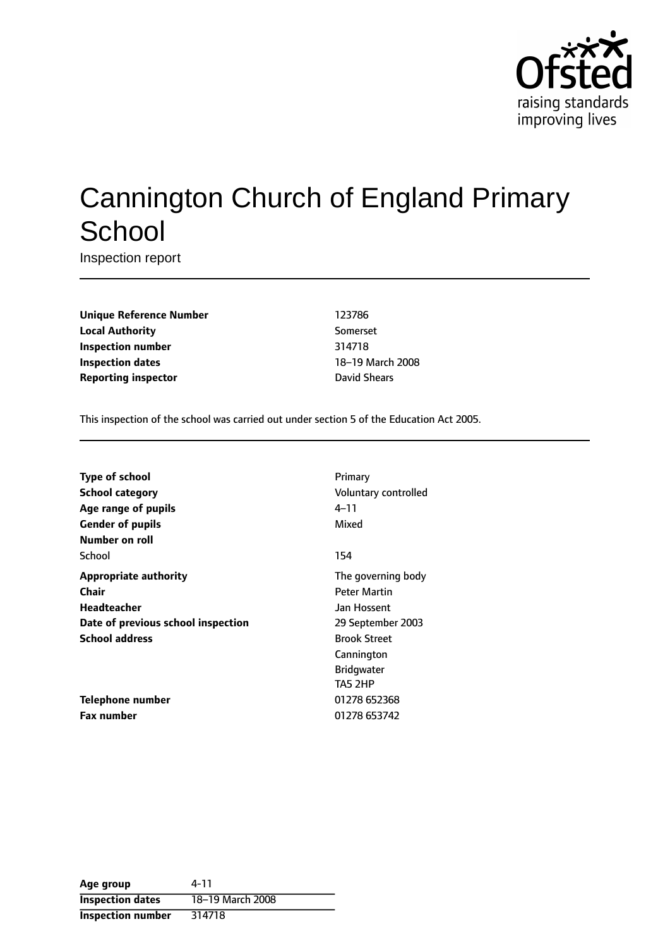

# Cannington Church of England Primary **School**

Inspection report

**Unique Reference Number** 123786 **Local Authority** Somerset **Inspection number** 314718 **Inspection dates** 18-19 March 2008 **Reporting inspector David Shears** 

This inspection of the school was carried out under section 5 of the Education Act 2005.

| Type of school                     | Primary              |
|------------------------------------|----------------------|
| <b>School category</b>             | Voluntary controlled |
| Age range of pupils                | 4–11                 |
| <b>Gender of pupils</b>            | Mixed                |
| Number on roll                     |                      |
| School                             | 154                  |
| <b>Appropriate authority</b>       | The governing body   |
| Chair                              | <b>Peter Martin</b>  |
| Headteacher                        | Jan Hossent          |
| Date of previous school inspection | 29 September 2003    |
| <b>School address</b>              | <b>Brook Street</b>  |
|                                    | Cannington           |
|                                    | <b>Bridgwater</b>    |
|                                    | TA5 2HP              |
| <b>Telephone number</b>            | 01278 652368         |
| Fax number                         | 01278 653742         |

| Age group               | 4-11             |
|-------------------------|------------------|
| <b>Inspection dates</b> | 18-19 March 2008 |
| Inspection number       | 314718           |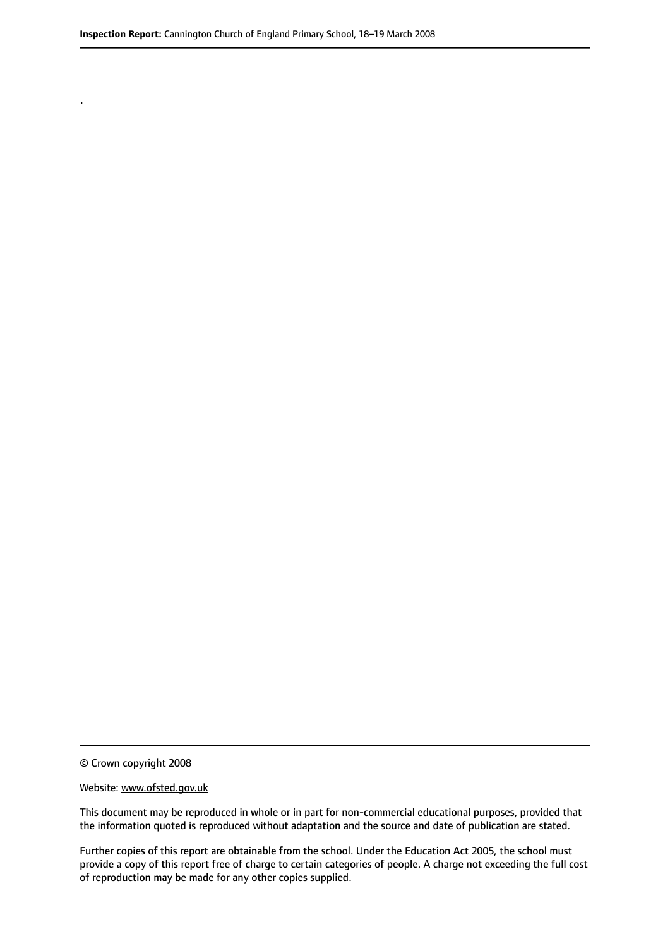© Crown copyright 2008

.

#### Website: www.ofsted.gov.uk

This document may be reproduced in whole or in part for non-commercial educational purposes, provided that the information quoted is reproduced without adaptation and the source and date of publication are stated.

Further copies of this report are obtainable from the school. Under the Education Act 2005, the school must provide a copy of this report free of charge to certain categories of people. A charge not exceeding the full cost of reproduction may be made for any other copies supplied.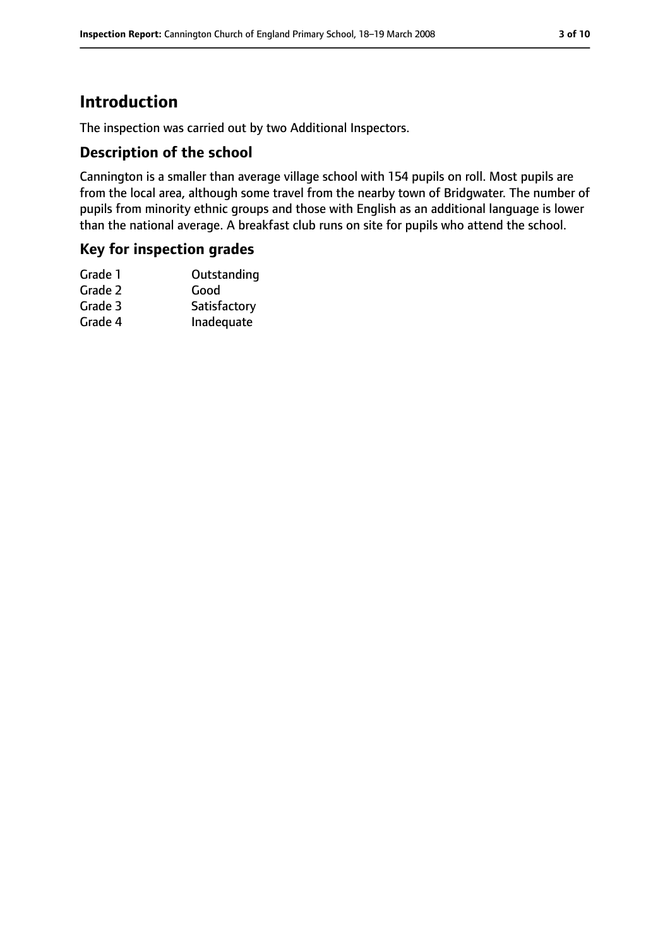# **Introduction**

The inspection was carried out by two Additional Inspectors.

### **Description of the school**

Cannington is a smaller than average village school with 154 pupils on roll. Most pupils are from the local area, although some travel from the nearby town of Bridgwater. The number of pupils from minority ethnic groups and those with English as an additional language is lower than the national average. A breakfast club runs on site for pupils who attend the school.

#### **Key for inspection grades**

| Grade 1 | Outstanding  |
|---------|--------------|
| Grade 2 | Good         |
| Grade 3 | Satisfactory |
| Grade 4 | Inadequate   |
|         |              |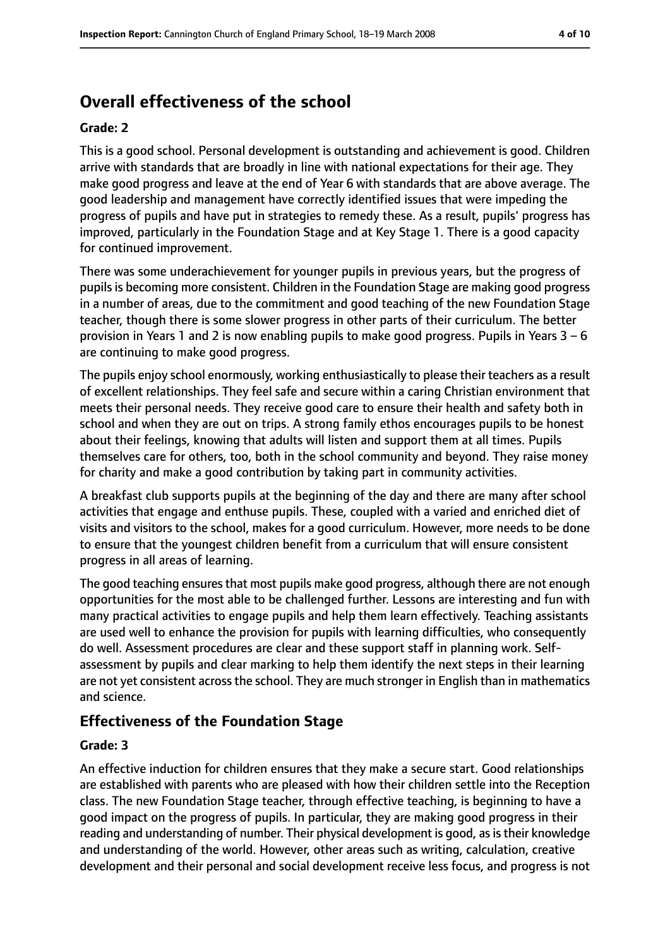# **Overall effectiveness of the school**

#### **Grade: 2**

This is a good school. Personal development is outstanding and achievement is good. Children arrive with standards that are broadly in line with national expectations for their age. They make good progress and leave at the end of Year 6 with standards that are above average. The good leadership and management have correctly identified issues that were impeding the progress of pupils and have put in strategies to remedy these. As a result, pupils' progress has improved, particularly in the Foundation Stage and at Key Stage 1. There is a good capacity for continued improvement.

There was some underachievement for younger pupils in previous years, but the progress of pupilsis becoming more consistent. Children in the Foundation Stage are making good progress in a number of areas, due to the commitment and good teaching of the new Foundation Stage teacher, though there is some slower progress in other parts of their curriculum. The better provision in Years 1 and 2 is now enabling pupils to make good progress. Pupils in Years  $3 - 6$ are continuing to make good progress.

The pupils enjoy school enormously, working enthusiastically to please their teachers as a result of excellent relationships. They feel safe and secure within a caring Christian environment that meets their personal needs. They receive good care to ensure their health and safety both in school and when they are out on trips. A strong family ethos encourages pupils to be honest about their feelings, knowing that adults will listen and support them at all times. Pupils themselves care for others, too, both in the school community and beyond. They raise money for charity and make a good contribution by taking part in community activities.

A breakfast club supports pupils at the beginning of the day and there are many after school activities that engage and enthuse pupils. These, coupled with a varied and enriched diet of visits and visitors to the school, makes for a good curriculum. However, more needs to be done to ensure that the youngest children benefit from a curriculum that will ensure consistent progress in all areas of learning.

The good teaching ensures that most pupils make good progress, although there are not enough opportunities for the most able to be challenged further. Lessons are interesting and fun with many practical activities to engage pupils and help them learn effectively. Teaching assistants are used well to enhance the provision for pupils with learning difficulties, who consequently do well. Assessment procedures are clear and these support staff in planning work. Selfassessment by pupils and clear marking to help them identify the next steps in their learning are not yet consistent across the school. They are much stronger in English than in mathematics and science.

#### **Effectiveness of the Foundation Stage**

#### **Grade: 3**

An effective induction for children ensures that they make a secure start. Good relationships are established with parents who are pleased with how their children settle into the Reception class. The new Foundation Stage teacher, through effective teaching, is beginning to have a good impact on the progress of pupils. In particular, they are making good progress in their reading and understanding of number. Their physical development is good, as is their knowledge and understanding of the world. However, other areas such as writing, calculation, creative development and their personal and social development receive less focus, and progress is not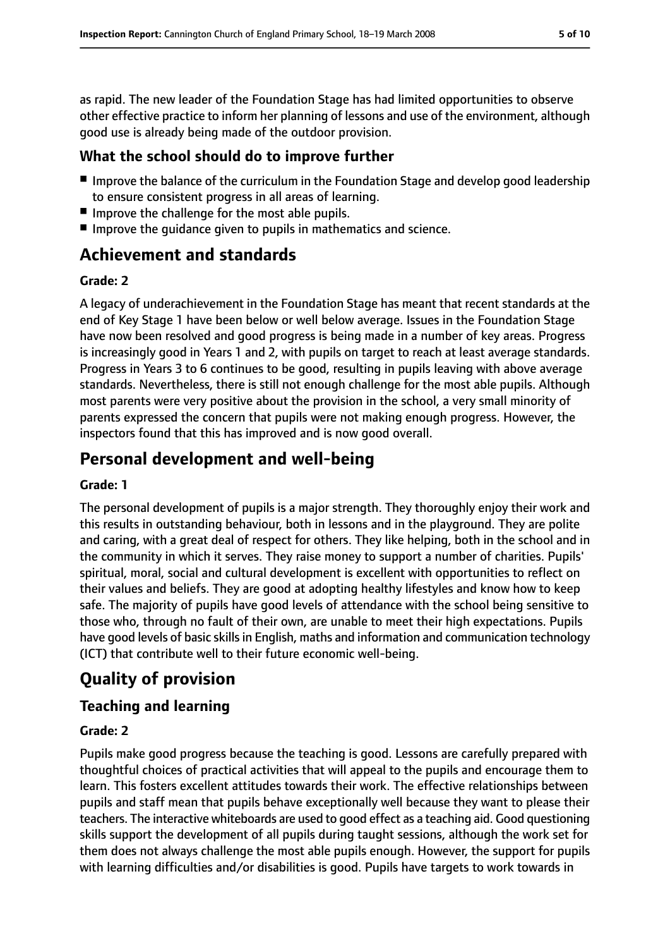as rapid. The new leader of the Foundation Stage has had limited opportunities to observe other effective practice to inform her planning of lessons and use of the environment, although good use is already being made of the outdoor provision.

## **What the school should do to improve further**

- Improve the balance of the curriculum in the Foundation Stage and develop good leadership to ensure consistent progress in all areas of learning.
- Improve the challenge for the most able pupils.
- Improve the quidance given to pupils in mathematics and science.

# **Achievement and standards**

#### **Grade: 2**

A legacy of underachievement in the Foundation Stage has meant that recent standards at the end of Key Stage 1 have been below or well below average. Issues in the Foundation Stage have now been resolved and good progress is being made in a number of key areas. Progress is increasingly good in Years 1 and 2, with pupils on target to reach at least average standards. Progress in Years 3 to 6 continues to be good, resulting in pupils leaving with above average standards. Nevertheless, there is still not enough challenge for the most able pupils. Although most parents were very positive about the provision in the school, a very small minority of parents expressed the concern that pupils were not making enough progress. However, the inspectors found that this has improved and is now good overall.

# **Personal development and well-being**

#### **Grade: 1**

The personal development of pupils is a major strength. They thoroughly enjoy their work and this results in outstanding behaviour, both in lessons and in the playground. They are polite and caring, with a great deal of respect for others. They like helping, both in the school and in the community in which it serves. They raise money to support a number of charities. Pupils' spiritual, moral, social and cultural development is excellent with opportunities to reflect on their values and beliefs. They are good at adopting healthy lifestyles and know how to keep safe. The majority of pupils have good levels of attendance with the school being sensitive to those who, through no fault of their own, are unable to meet their high expectations. Pupils have good levels of basic skills in English, maths and information and communication technology (ICT) that contribute well to their future economic well-being.

# **Quality of provision**

## **Teaching and learning**

#### **Grade: 2**

Pupils make good progress because the teaching is good. Lessons are carefully prepared with thoughtful choices of practical activities that will appeal to the pupils and encourage them to learn. This fosters excellent attitudes towards their work. The effective relationships between pupils and staff mean that pupils behave exceptionally well because they want to please their teachers. The interactive whiteboards are used to good effect as a teaching aid. Good questioning skills support the development of all pupils during taught sessions, although the work set for them does not always challenge the most able pupils enough. However, the support for pupils with learning difficulties and/or disabilities is good. Pupils have targets to work towards in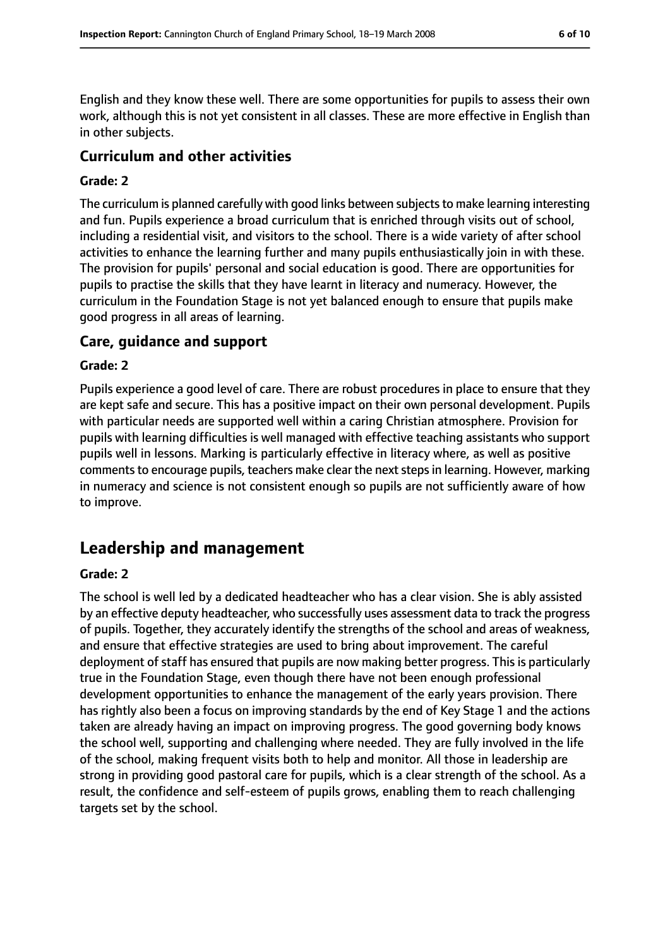English and they know these well. There are some opportunities for pupils to assess their own work, although this is not yet consistent in all classes. These are more effective in English than in other subjects.

#### **Curriculum and other activities**

#### **Grade: 2**

The curriculum is planned carefully with good links between subjects to make learning interesting and fun. Pupils experience a broad curriculum that is enriched through visits out of school, including a residential visit, and visitors to the school. There is a wide variety of after school activities to enhance the learning further and many pupils enthusiastically join in with these. The provision for pupils' personal and social education is good. There are opportunities for pupils to practise the skills that they have learnt in literacy and numeracy. However, the curriculum in the Foundation Stage is not yet balanced enough to ensure that pupils make good progress in all areas of learning.

#### **Care, guidance and support**

#### **Grade: 2**

Pupils experience a good level of care. There are robust procedures in place to ensure that they are kept safe and secure. This has a positive impact on their own personal development. Pupils with particular needs are supported well within a caring Christian atmosphere. Provision for pupils with learning difficulties is well managed with effective teaching assistants who support pupils well in lessons. Marking is particularly effective in literacy where, as well as positive comments to encourage pupils, teachers make clear the next steps in learning. However, marking in numeracy and science is not consistent enough so pupils are not sufficiently aware of how to improve.

# **Leadership and management**

#### **Grade: 2**

The school is well led by a dedicated headteacher who has a clear vision. She is ably assisted by an effective deputy headteacher, who successfully uses assessment data to track the progress of pupils. Together, they accurately identify the strengths of the school and areas of weakness, and ensure that effective strategies are used to bring about improvement. The careful deployment of staff has ensured that pupils are now making better progress. This is particularly true in the Foundation Stage, even though there have not been enough professional development opportunities to enhance the management of the early years provision. There has rightly also been a focus on improving standards by the end of Key Stage 1 and the actions taken are already having an impact on improving progress. The good governing body knows the school well, supporting and challenging where needed. They are fully involved in the life of the school, making frequent visits both to help and monitor. All those in leadership are strong in providing good pastoral care for pupils, which is a clear strength of the school. As a result, the confidence and self-esteem of pupils grows, enabling them to reach challenging targets set by the school.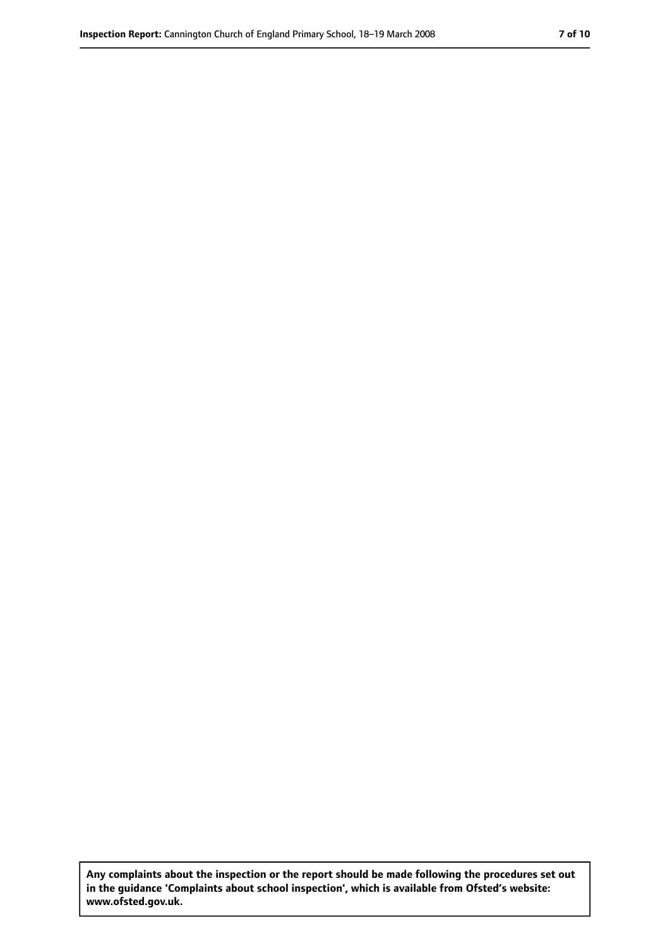**Any complaints about the inspection or the report should be made following the procedures set out in the guidance 'Complaints about school inspection', which is available from Ofsted's website: www.ofsted.gov.uk.**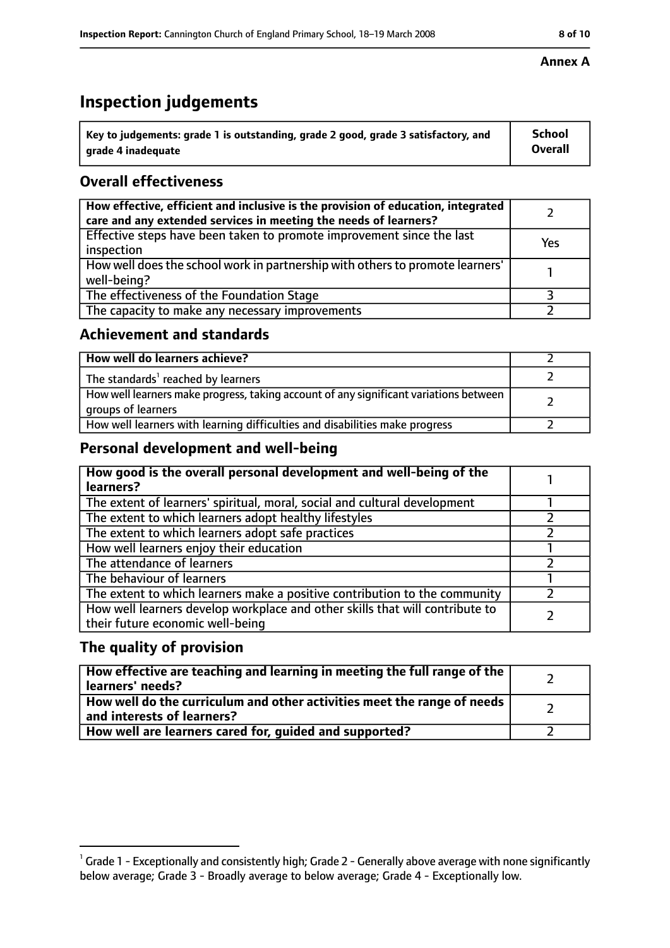# **Inspection judgements**

| $^{\backprime}$ Key to judgements: grade 1 is outstanding, grade 2 good, grade 3 satisfactory, and | <b>School</b>  |
|----------------------------------------------------------------------------------------------------|----------------|
| arade 4 inadeguate                                                                                 | <b>Overall</b> |

## **Overall effectiveness**

| How effective, efficient and inclusive is the provision of education, integrated<br>care and any extended services in meeting the needs of learners? |     |
|------------------------------------------------------------------------------------------------------------------------------------------------------|-----|
| Effective steps have been taken to promote improvement since the last<br>inspection                                                                  | Yes |
| How well does the school work in partnership with others to promote learners'<br>well-being?                                                         |     |
| The effectiveness of the Foundation Stage                                                                                                            |     |
| The capacity to make any necessary improvements                                                                                                      |     |

## **Achievement and standards**

| How well do learners achieve?                                                                               |  |
|-------------------------------------------------------------------------------------------------------------|--|
| The standards <sup>1</sup> reached by learners                                                              |  |
| How well learners make progress, taking account of any significant variations between<br>groups of learners |  |
| How well learners with learning difficulties and disabilities make progress                                 |  |

## **Personal development and well-being**

| How good is the overall personal development and well-being of the<br>learners?                                  |  |
|------------------------------------------------------------------------------------------------------------------|--|
| The extent of learners' spiritual, moral, social and cultural development                                        |  |
| The extent to which learners adopt healthy lifestyles                                                            |  |
| The extent to which learners adopt safe practices                                                                |  |
| How well learners enjoy their education                                                                          |  |
| The attendance of learners                                                                                       |  |
| The behaviour of learners                                                                                        |  |
| The extent to which learners make a positive contribution to the community                                       |  |
| How well learners develop workplace and other skills that will contribute to<br>their future economic well-being |  |

## **The quality of provision**

| How effective are teaching and learning in meeting the full range of the<br>learners' needs?          |  |
|-------------------------------------------------------------------------------------------------------|--|
| How well do the curriculum and other activities meet the range of needs<br>and interests of learners? |  |
| How well are learners cared for, guided and supported?                                                |  |

#### **Annex A**

 $^1$  Grade 1 - Exceptionally and consistently high; Grade 2 - Generally above average with none significantly below average; Grade 3 - Broadly average to below average; Grade 4 - Exceptionally low.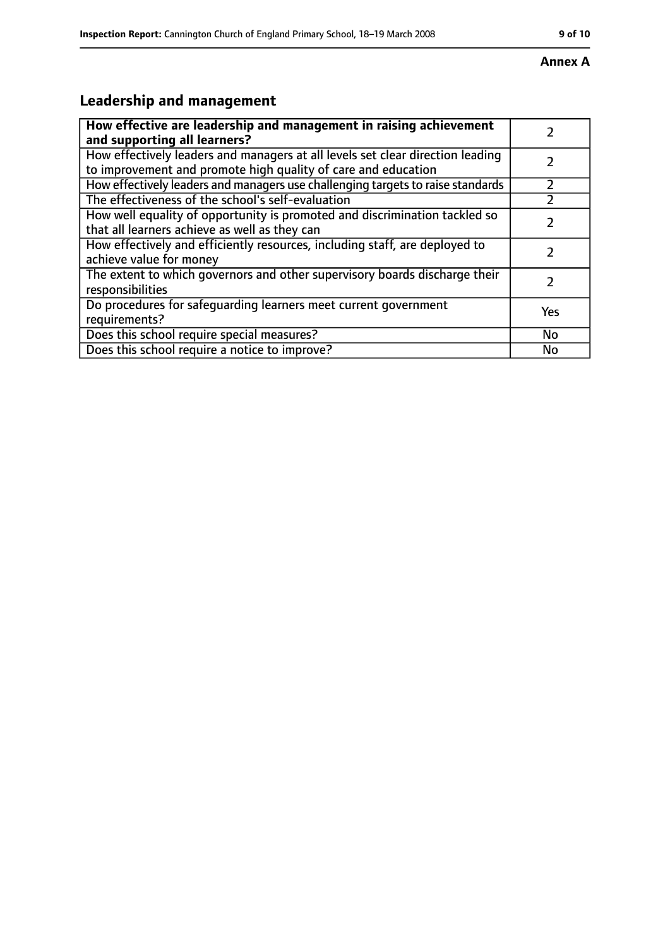# **Leadership and management**

| How effective are leadership and management in raising achievement<br>and supporting all learners?                                              |     |
|-------------------------------------------------------------------------------------------------------------------------------------------------|-----|
| How effectively leaders and managers at all levels set clear direction leading<br>to improvement and promote high quality of care and education |     |
| How effectively leaders and managers use challenging targets to raise standards                                                                 |     |
| The effectiveness of the school's self-evaluation                                                                                               |     |
| How well equality of opportunity is promoted and discrimination tackled so<br>that all learners achieve as well as they can                     |     |
| How effectively and efficiently resources, including staff, are deployed to<br>achieve value for money                                          | 7   |
| The extent to which governors and other supervisory boards discharge their<br>responsibilities                                                  |     |
| Do procedures for safequarding learners meet current government<br>requirements?                                                                | Yes |
| Does this school require special measures?                                                                                                      | No  |
| Does this school require a notice to improve?                                                                                                   | No  |